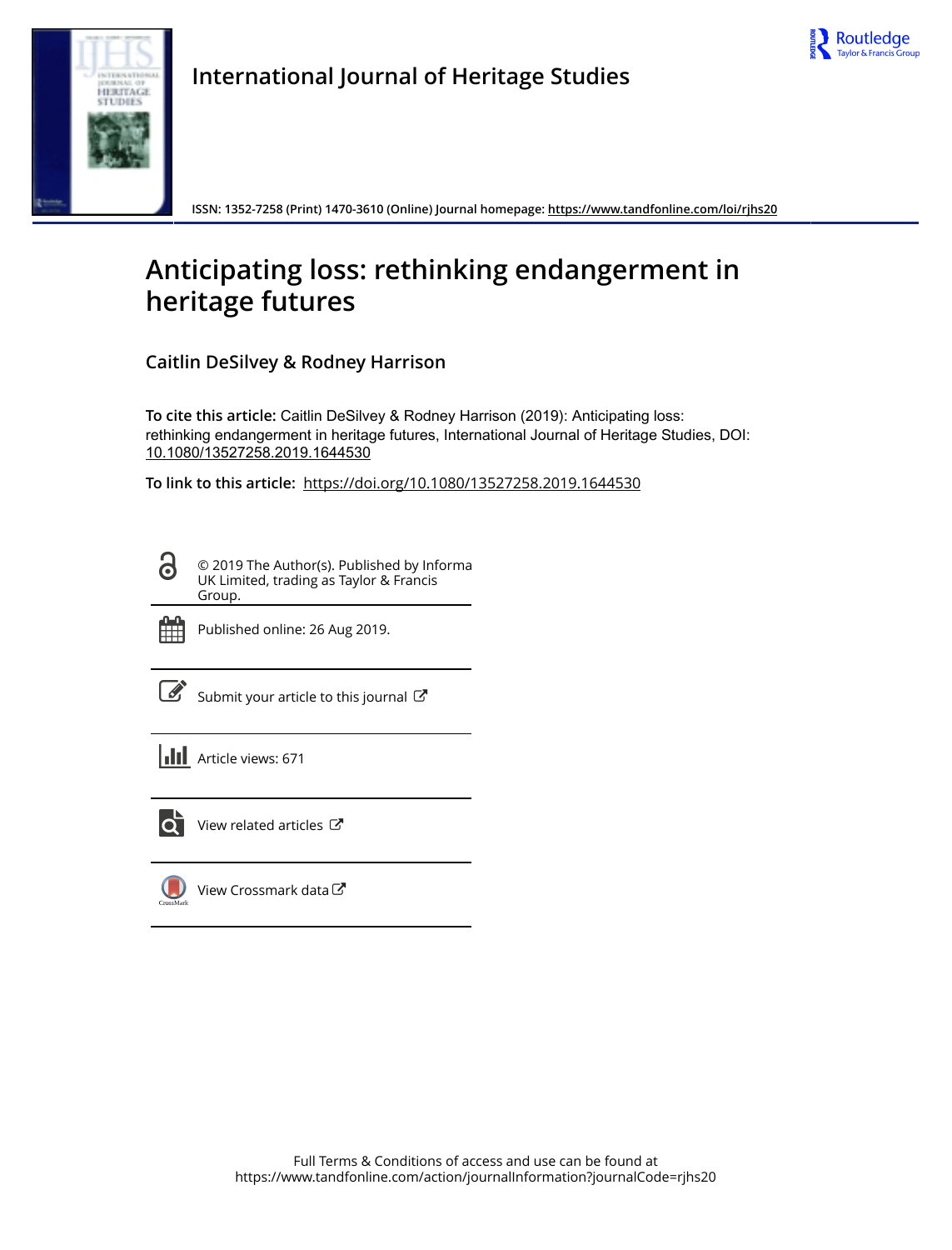



**International Journal of Heritage Studies**

**ISSN: 1352-7258 (Print) 1470-3610 (Online) Journal homepage:<https://www.tandfonline.com/loi/rjhs20>**

# **Anticipating loss: rethinking endangerment in heritage futures**

**Caitlin DeSilvey & Rodney Harrison**

**To cite this article:** Caitlin DeSilvey & Rodney Harrison (2019): Anticipating loss: rethinking endangerment in heritage futures, International Journal of Heritage Studies, DOI: [10.1080/13527258.2019.1644530](https://www.tandfonline.com/action/showCitFormats?doi=10.1080/13527258.2019.1644530)

**To link to this article:** <https://doi.org/10.1080/13527258.2019.1644530>

© 2019 The Author(s). Published by Informa UK Limited, trading as Taylor & Francis Group.



3

Published online: 26 Aug 2019.

[Submit your article to this journal](https://www.tandfonline.com/action/authorSubmission?journalCode=rjhs20&show=instructions)  $\mathbb{Z}$ 

**III** Article views: 671



[View related articles](https://www.tandfonline.com/doi/mlt/10.1080/13527258.2019.1644530)  $\mathbb{Z}$ 

[View Crossmark data](http://crossmark.crossref.org/dialog/?doi=10.1080/13527258.2019.1644530&domain=pdf&date_stamp=2019-08-26) $\mathbb{Z}$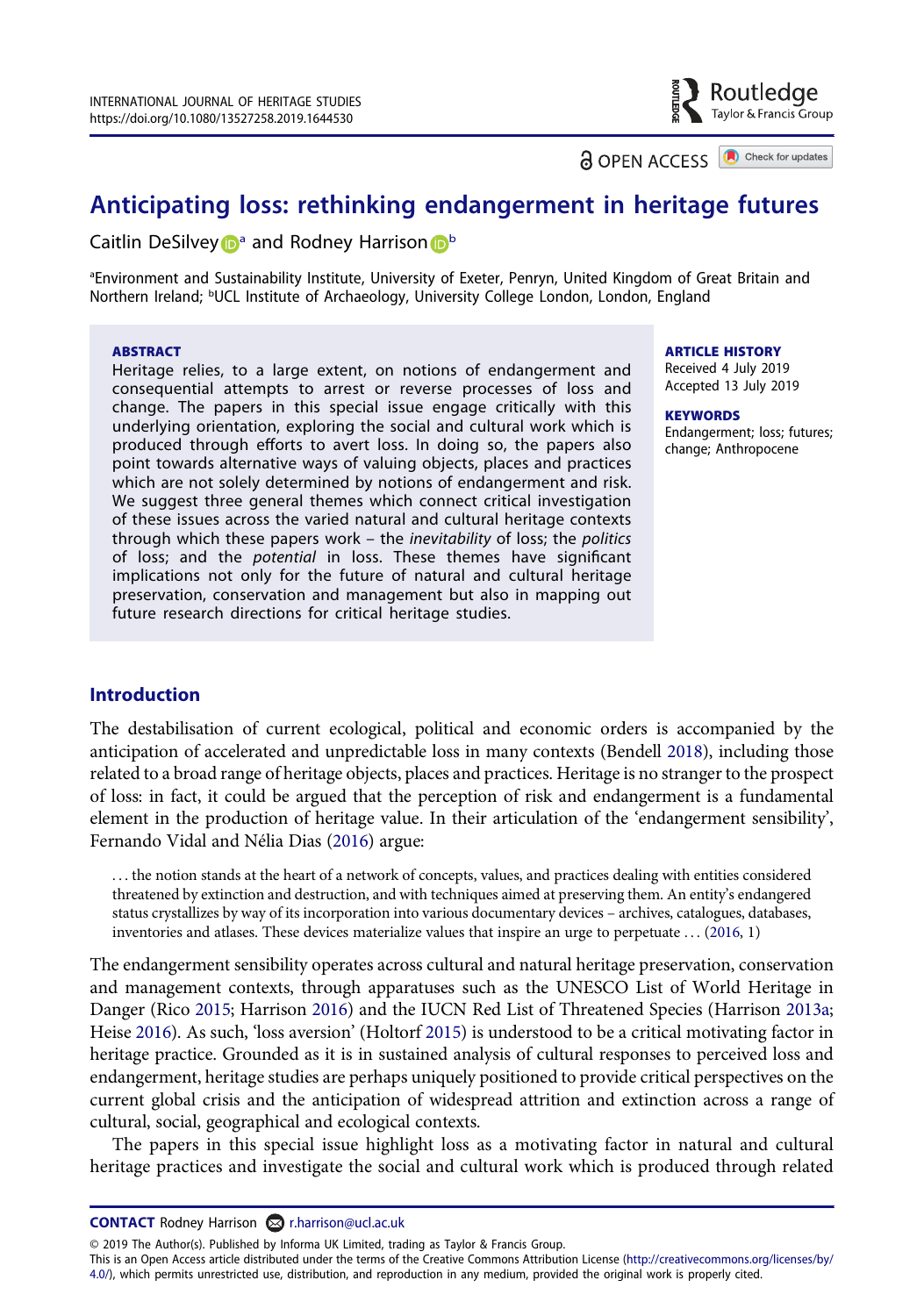Routledge Taylor & Francis Group

**a** OPEN ACCESS **a** Check for updates

## Anticipating loss: rethinking endangerment in heritage futures

## C[a](http://orcid.org/0000-0003-1629-8414)itlin DeSilvey  $\mathbf{D}^{\mathsf{a}}$  $\mathbf{D}^{\mathsf{a}}$  $\mathbf{D}^{\mathsf{a}}$  and Rodney Harrison  $\mathbf{D}^{\mathsf{b}}$

a Environment and Sustainability Institute, University of Exeter, Penryn, United Kingdom of Great Britain and Northern Ireland; <sup>b</sup>UCL Institute of Archaeology, University College London, London, England

#### ABSTRACT

Heritage relies, to a large extent, on notions of endangerment and consequential attempts to arrest or reverse processes of loss and change. The papers in this special issue engage critically with this underlying orientation, exploring the social and cultural work which is produced through efforts to avert loss. In doing so, the papers also point towards alternative ways of valuing objects, places and practices which are not solely determined by notions of endangerment and risk. We suggest three general themes which connect critical investigation of these issues across the varied natural and cultural heritage contexts through which these papers work – the inevitability of loss; the politics of loss; and the potential in loss. These themes have significant implications not only for the future of natural and cultural heritage preservation, conservation and management but also in mapping out future research directions for critical heritage studies.

#### ARTICLE HISTORY

Received 4 July 2019 Accepted 13 July 2019

#### **KEYWORDS**

Endangerment; loss; futures; change; Anthropocene

## Introduction

<span id="page-1-1"></span>The destabilisation of current ecological, political and economic orders is accompanied by the anticipation of accelerated and unpredictable loss in many contexts (Bendell [2018](#page-6-0)), including those related to a broad range of heritage objects, places and practices. Heritage is no stranger to the prospect of loss: in fact, it could be argued that the perception of risk and endangerment is a fundamental element in the production of heritage value. In their articulation of the 'endangerment sensibility', Fernando Vidal and Nélia Dias ([2016\)](#page-7-0) argue:

. . . the notion stands at the heart of a network of concepts, values, and practices dealing with entities considered threatened by extinction and destruction, and with techniques aimed at preserving them. An entity's endangered status crystallizes by way of its incorporation into various documentary devices – archives, catalogues, databases, inventories and atlases. These devices materialize values that inspire an urge to perpetuate . . . [\(2016](#page-7-0), 1)

<span id="page-1-4"></span><span id="page-1-3"></span><span id="page-1-2"></span>The endangerment sensibility operates across cultural and natural heritage preservation, conservation and management contexts, through apparatuses such as the UNESCO List of World Heritage in Danger (Rico [2015](#page-7-1); Harrison [2016](#page-7-2)) and the IUCN Red List of Threatened Species (Harrison [2013a;](#page-7-3) Heise [2016](#page-7-4)). As such, 'loss aversion' (Holtorf [2015](#page-7-5)) is understood to be a critical motivating factor in heritage practice. Grounded as it is in sustained analysis of cultural responses to perceived loss and endangerment, heritage studies are perhaps uniquely positioned to provide critical perspectives on the current global crisis and the anticipation of widespread attrition and extinction across a range of cultural, social, geographical and ecological contexts.

The papers in this special issue highlight loss as a motivating factor in natural and cultural heritage practices and investigate the social and cultural work which is produced through related

<span id="page-1-0"></span>CONTACT Rodney Harrison 2 r.harrison@ucl.ac.uk

© 2019 The Author(s). Published by Informa UK Limited, trading as Taylor & Francis Group. This is an Open Access article distributed under the terms of the Creative Commons Attribution License (http://creativecommons.org/licenses/by/ 4.0/), which permits unrestricted use, distribution, and reproduction in any medium, provided the original work is properly cited.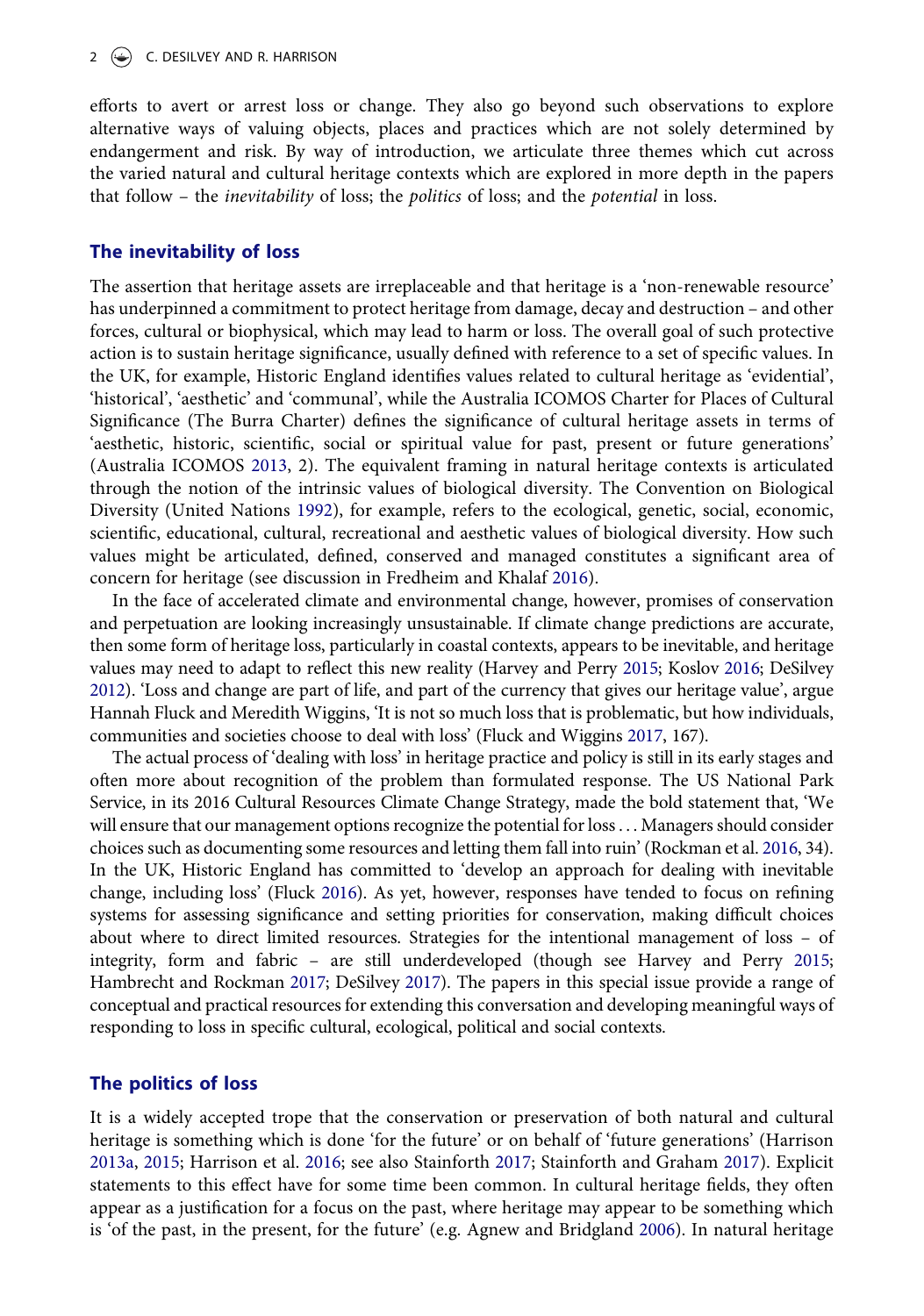efforts to avert or arrest loss or change. They also go beyond such observations to explore alternative ways of valuing objects, places and practices which are not solely determined by endangerment and risk. By way of introduction, we articulate three themes which cut across the varied natural and cultural heritage contexts which are explored in more depth in the papers that follow – the inevitability of loss; the politics of loss; and the potential in loss.

## The inevitability of loss

The assertion that heritage assets are irreplaceable and that heritage is a 'non-renewable resource' has underpinned a commitment to protect heritage from damage, decay and destruction – and other forces, cultural or biophysical, which may lead to harm or loss. The overall goal of such protective action is to sustain heritage significance, usually defined with reference to a set of specific values. In the UK, for example, Historic England identifies values related to cultural heritage as 'evidential', 'historical', 'aesthetic' and 'communal', while the Australia ICOMOS Charter for Places of Cultural Significance (The Burra Charter) defines the significance of cultural heritage assets in terms of 'aesthetic, historic, scientific, social or spiritual value for past, present or future generations' (Australia ICOMOS [2013](#page-6-1), 2). The equivalent framing in natural heritage contexts is articulated through the notion of the intrinsic values of biological diversity. The Convention on Biological Diversity (United Nations [1992\)](#page-7-6), for example, refers to the ecological, genetic, social, economic, scientific, educational, cultural, recreational and aesthetic values of biological diversity. How such values might be articulated, defined, conserved and managed constitutes a significant area of concern for heritage (see discussion in Fredheim and Khalaf [2016](#page-7-7)).

<span id="page-2-10"></span><span id="page-2-6"></span><span id="page-2-2"></span><span id="page-2-1"></span>In the face of accelerated climate and environmental change, however, promises of conservation and perpetuation are looking increasingly unsustainable. If climate change predictions are accurate, then some form of heritage loss, particularly in coastal contexts, appears to be inevitable, and heritage values may need to adapt to reflect this new reality (Harvey and Perry [2015](#page-7-8); Koslov [2016;](#page-7-9) DeSilvey [2012\)](#page-6-2). 'Loss and change are part of life, and part of the currency that gives our heritage value', argue Hannah Fluck and Meredith Wiggins, 'It is not so much loss that is problematic, but how individuals, communities and societies choose to deal with loss' (Fluck and Wiggins [2017,](#page-7-10) 167).

<span id="page-2-9"></span><span id="page-2-5"></span><span id="page-2-4"></span>The actual process of 'dealing with loss' in heritage practice and policy is still in its early stages and often more about recognition of the problem than formulated response. The US National Park Service, in its 2016 Cultural Resources Climate Change Strategy, made the bold statement that, 'We will ensure that our management options recognize the potential for loss . . . Managers should consider choices such as documenting some resources and letting them fall into ruin' (Rockman et al. [2016](#page-7-11), 34). In the UK, Historic England has committed to 'develop an approach for dealing with inevitable change, including loss' (Fluck [2016](#page-6-3)). As yet, however, responses have tended to focus on refining systems for assessing significance and setting priorities for conservation, making difficult choices about where to direct limited resources. Strategies for the intentional management of loss – of integrity, form and fabric – are still underdeveloped (though see Harvey and Perry [2015;](#page-7-8) Hambrecht and Rockman [2017;](#page-7-12) DeSilvey [2017](#page-6-4)). The papers in this special issue provide a range of conceptual and practical resources for extending this conversation and developing meaningful ways of responding to loss in specific cultural, ecological, political and social contexts.

### <span id="page-2-8"></span><span id="page-2-3"></span>The politics of loss

<span id="page-2-7"></span><span id="page-2-0"></span>It is a widely accepted trope that the conservation or preservation of both natural and cultural heritage is something which is done 'for the future' or on behalf of 'future generations' (Harrison [2013a,](#page-7-3) [2015;](#page-7-13) Harrison et al. [2016](#page-7-14); see also Stainforth [2017;](#page-7-15) Stainforth and Graham [2017\)](#page-7-16). Explicit statements to this effect have for some time been common. In cultural heritage fields, they often appear as a justification for a focus on the past, where heritage may appear to be something which is 'of the past, in the present, for the future' (e.g. Agnew and Bridgland [2006\)](#page-6-5). In natural heritage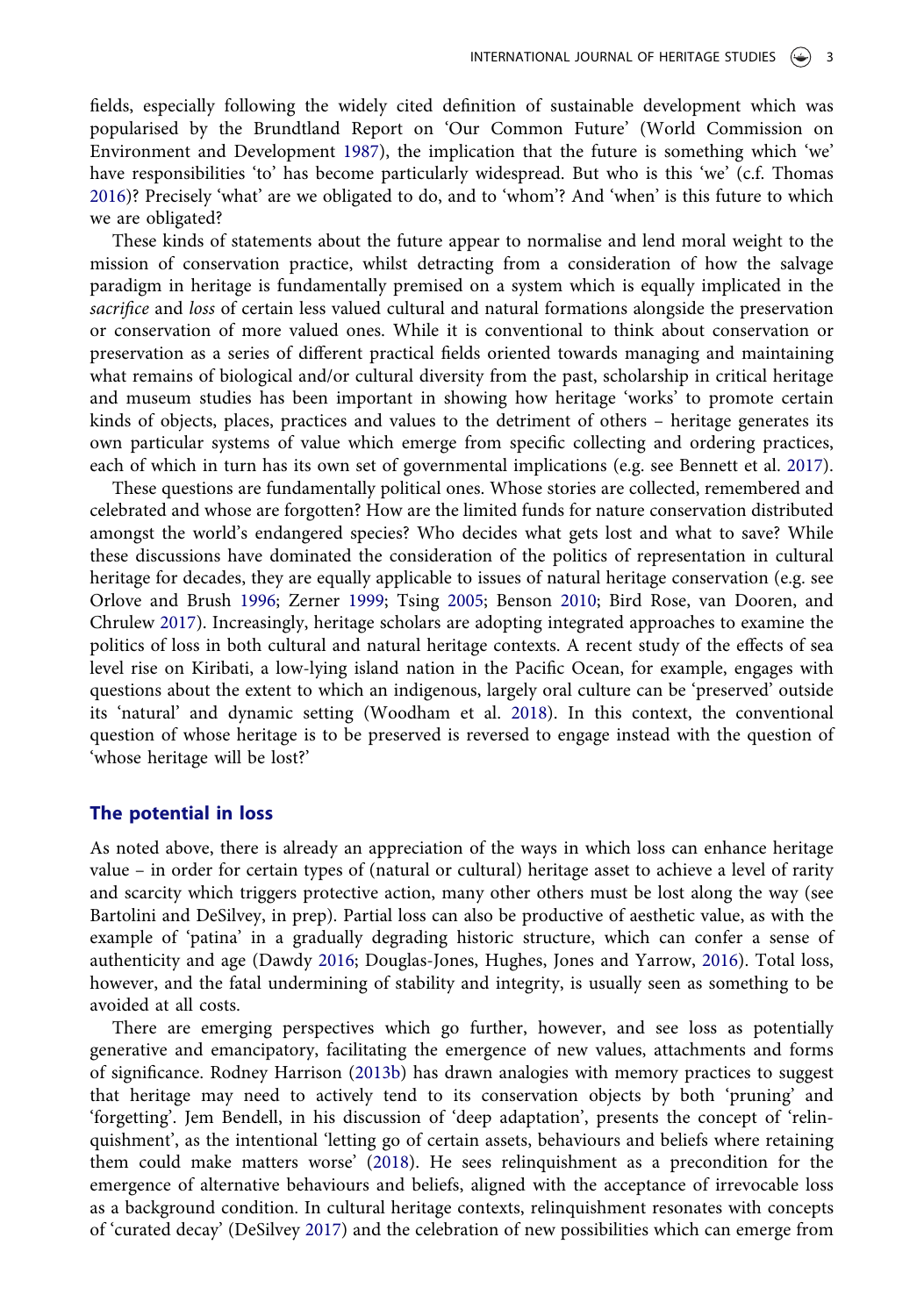<span id="page-3-7"></span><span id="page-3-5"></span>fields, especially following the widely cited definition of sustainable development which was popularised by the Brundtland Report on 'Our Common Future' (World Commission on Environment and Development [1987](#page-7-17)), the implication that the future is something which 'we' have responsibilities 'to' has become particularly widespread. But who is this 'we' (c.f. Thomas [2016](#page-7-18))? Precisely 'what' are we obligated to do, and to 'whom'? And 'when' is this future to which we are obligated?

These kinds of statements about the future appear to normalise and lend moral weight to the mission of conservation practice, whilst detracting from a consideration of how the salvage paradigm in heritage is fundamentally premised on a system which is equally implicated in the sacrifice and loss of certain less valued cultural and natural formations alongside the preservation or conservation of more valued ones. While it is conventional to think about conservation or preservation as a series of different practical fields oriented towards managing and maintaining what remains of biological and/or cultural diversity from the past, scholarship in critical heritage and museum studies has been important in showing how heritage 'works' to promote certain kinds of objects, places, practices and values to the detriment of others – heritage generates its own particular systems of value which emerge from specific collecting and ordering practices, each of which in turn has its own set of governmental implications (e.g. see Bennett et al. [2017](#page-6-6)).

<span id="page-3-2"></span><span id="page-3-1"></span><span id="page-3-0"></span>These questions are fundamentally political ones. Whose stories are collected, remembered and celebrated and whose are forgotten? How are the limited funds for nature conservation distributed amongst the world's endangered species? Who decides what gets lost and what to save? While these discussions have dominated the consideration of the politics of representation in cultural heritage for decades, they are equally applicable to issues of natural heritage conservation (e.g. see Orlove and Brush [1996](#page-7-19); Zerner [1999](#page-7-20); Tsing [2005](#page-7-21); Benson [2010;](#page-6-7) Bird Rose, van Dooren, and Chrulew [2017\)](#page-6-8). Increasingly, heritage scholars are adopting integrated approaches to examine the politics of loss in both cultural and natural heritage contexts. A recent study of the effects of sea level rise on Kiribati, a low-lying island nation in the Pacific Ocean, for example, engages with questions about the extent to which an indigenous, largely oral culture can be 'preserved' outside its 'natural' and dynamic setting (Woodham et al. [2018](#page-7-22)). In this context, the conventional question of whose heritage is to be preserved is reversed to engage instead with the question of 'whose heritage will be lost?'

#### <span id="page-3-6"></span>The potential in loss

As noted above, there is already an appreciation of the ways in which loss can enhance heritage value – in order for certain types of (natural or cultural) heritage asset to achieve a level of rarity and scarcity which triggers protective action, many other others must be lost along the way (see Bartolini and DeSilvey, in prep). Partial loss can also be productive of aesthetic value, as with the example of 'patina' in a gradually degrading historic structure, which can confer a sense of authenticity and age (Dawdy [2016](#page-6-9); Douglas-Jones, Hughes, Jones and Yarrow, [2016](#page-6-10)). Total loss, however, and the fatal undermining of stability and integrity, is usually seen as something to be avoided at all costs.

<span id="page-3-4"></span><span id="page-3-3"></span>There are emerging perspectives which go further, however, and see loss as potentially generative and emancipatory, facilitating the emergence of new values, attachments and forms of significance. Rodney Harrison ([2013b\)](#page-7-23) has drawn analogies with memory practices to suggest that heritage may need to actively tend to its conservation objects by both 'pruning' and 'forgetting'. Jem Bendell, in his discussion of 'deep adaptation', presents the concept of 'relinquishment', as the intentional 'letting go of certain assets, behaviours and beliefs where retaining them could make matters worse' [\(2018](#page-6-0)). He sees relinquishment as a precondition for the emergence of alternative behaviours and beliefs, aligned with the acceptance of irrevocable loss as a background condition. In cultural heritage contexts, relinquishment resonates with concepts of 'curated decay' (DeSilvey [2017](#page-6-4)) and the celebration of new possibilities which can emerge from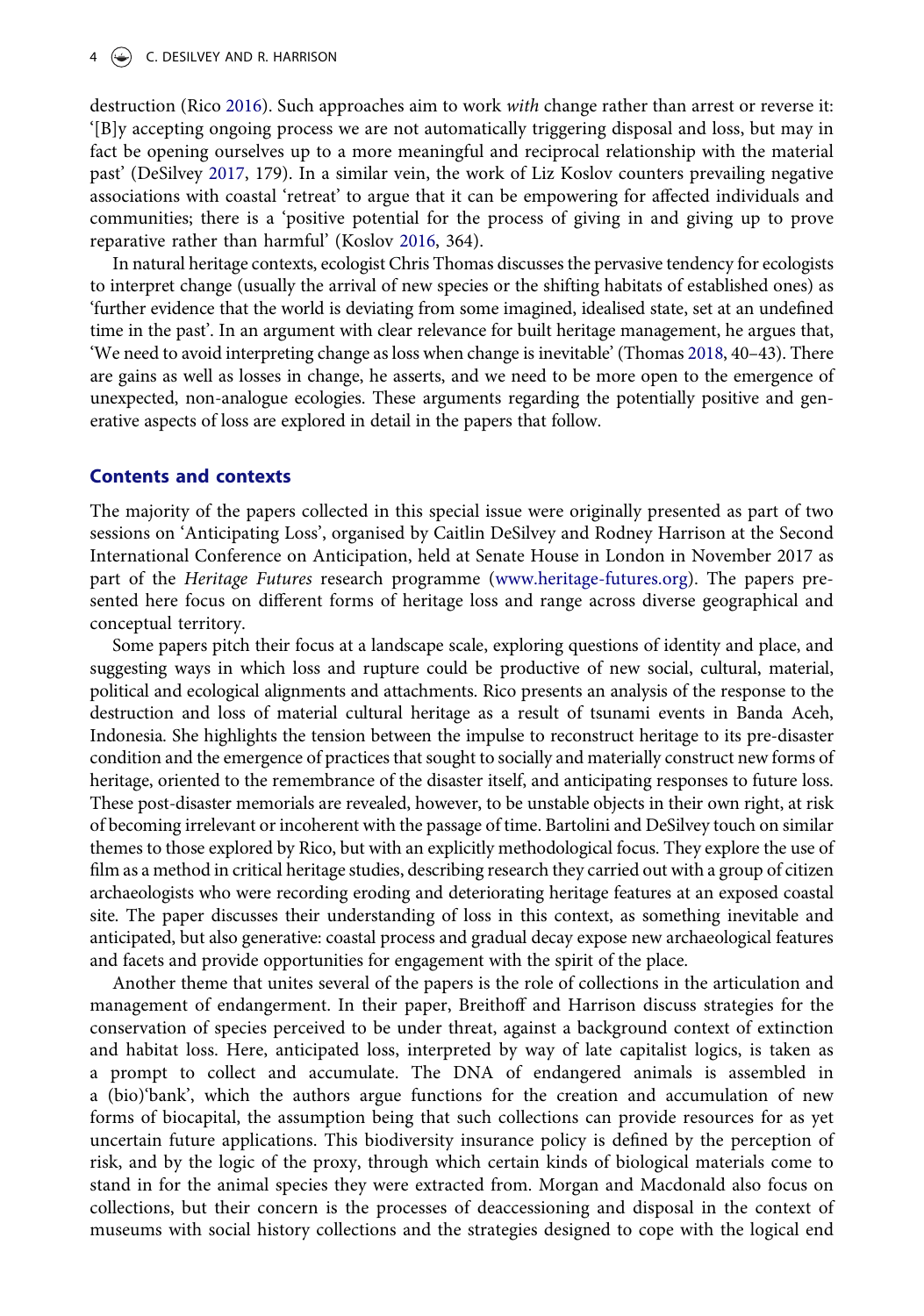#### 4  $\left(\frac{1}{2}\right)$  C. DESILVEY AND R. HARRISON

<span id="page-4-0"></span>destruction (Rico [2016\)](#page-7-24). Such approaches aim to work with change rather than arrest or reverse it: '[B]y accepting ongoing process we are not automatically triggering disposal and loss, but may in fact be opening ourselves up to a more meaningful and reciprocal relationship with the material past' (DeSilvey [2017,](#page-6-4) 179). In a similar vein, the work of Liz Koslov counters prevailing negative associations with coastal 'retreat' to argue that it can be empowering for affected individuals and communities; there is a 'positive potential for the process of giving in and giving up to prove reparative rather than harmful' (Koslov [2016,](#page-7-9) 364).

<span id="page-4-1"></span>In natural heritage contexts, ecologist Chris Thomas discusses the pervasive tendency for ecologists to interpret change (usually the arrival of new species or the shifting habitats of established ones) as 'further evidence that the world is deviating from some imagined, idealised state, set at an undefined time in the past'. In an argument with clear relevance for built heritage management, he argues that, 'We need to avoid interpreting change as loss when change is inevitable' (Thomas [2018](#page-7-25), 40–43). There are gains as well as losses in change, he asserts, and we need to be more open to the emergence of unexpected, non-analogue ecologies. These arguments regarding the potentially positive and generative aspects of loss are explored in detail in the papers that follow.

#### Contents and contexts

The majority of the papers collected in this special issue were originally presented as part of two sessions on 'Anticipating Loss', organised by Caitlin DeSilvey and Rodney Harrison at the Second International Conference on Anticipation, held at Senate House in London in November 2017 as part of the Heritage Futures research programme [\(www.heritage-futures.org](http://www.heritage-futures.org)). The papers presented here focus on different forms of heritage loss and range across diverse geographical and conceptual territory.

Some papers pitch their focus at a landscape scale, exploring questions of identity and place, and suggesting ways in which loss and rupture could be productive of new social, cultural, material, political and ecological alignments and attachments. Rico presents an analysis of the response to the destruction and loss of material cultural heritage as a result of tsunami events in Banda Aceh, Indonesia. She highlights the tension between the impulse to reconstruct heritage to its pre-disaster condition and the emergence of practices that sought to socially and materially construct new forms of heritage, oriented to the remembrance of the disaster itself, and anticipating responses to future loss. These post-disaster memorials are revealed, however, to be unstable objects in their own right, at risk of becoming irrelevant or incoherent with the passage of time. Bartolini and DeSilvey touch on similar themes to those explored by Rico, but with an explicitly methodological focus. They explore the use of film as a method in critical heritage studies, describing research they carried out with a group of citizen archaeologists who were recording eroding and deteriorating heritage features at an exposed coastal site. The paper discusses their understanding of loss in this context, as something inevitable and anticipated, but also generative: coastal process and gradual decay expose new archaeological features and facets and provide opportunities for engagement with the spirit of the place.

Another theme that unites several of the papers is the role of collections in the articulation and management of endangerment. In their paper, Breithoff and Harrison discuss strategies for the conservation of species perceived to be under threat, against a background context of extinction and habitat loss. Here, anticipated loss, interpreted by way of late capitalist logics, is taken as a prompt to collect and accumulate. The DNA of endangered animals is assembled in a (bio)'bank', which the authors argue functions for the creation and accumulation of new forms of biocapital, the assumption being that such collections can provide resources for as yet uncertain future applications. This biodiversity insurance policy is defined by the perception of risk, and by the logic of the proxy, through which certain kinds of biological materials come to stand in for the animal species they were extracted from. Morgan and Macdonald also focus on collections, but their concern is the processes of deaccessioning and disposal in the context of museums with social history collections and the strategies designed to cope with the logical end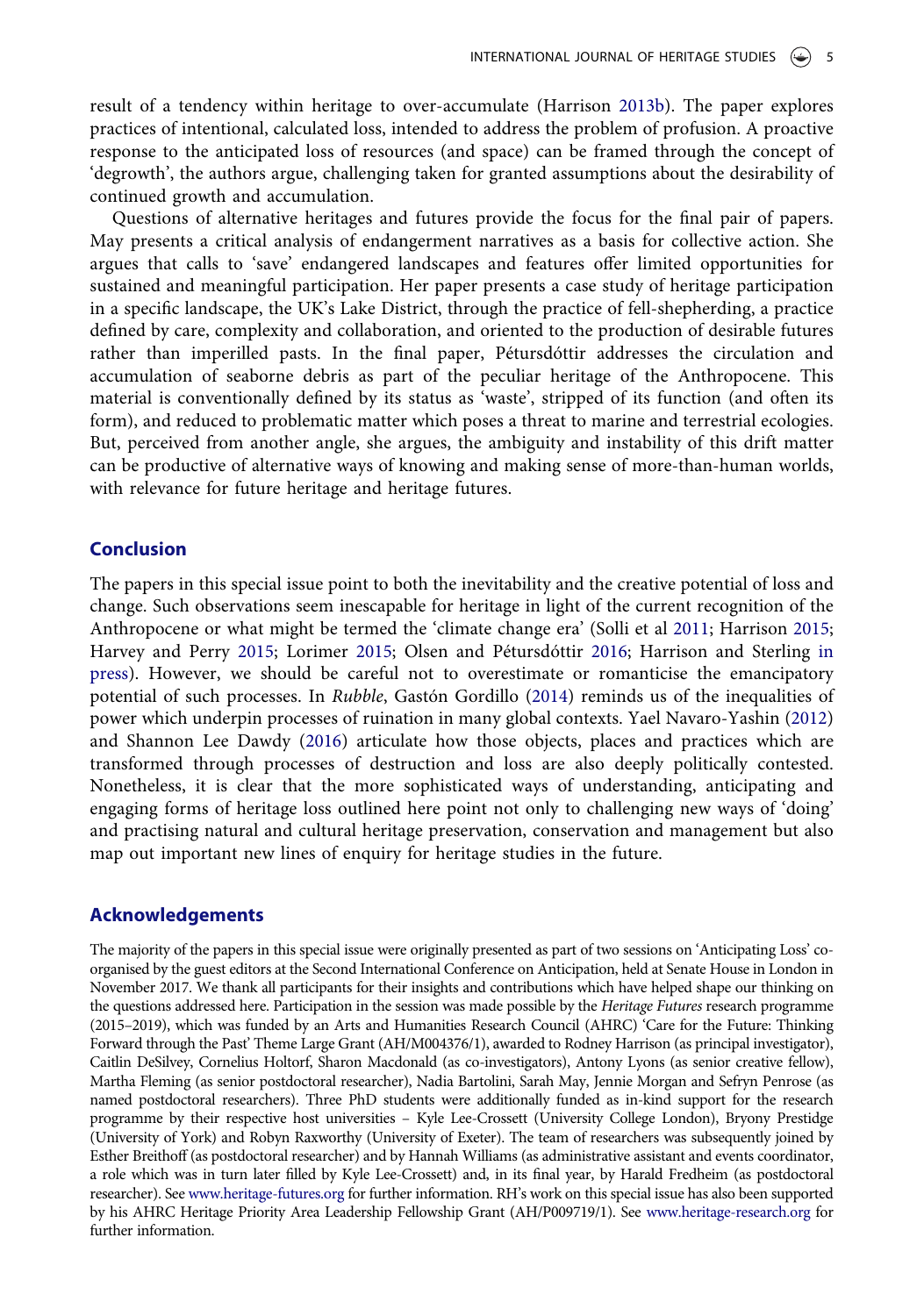result of a tendency within heritage to over-accumulate (Harrison [2013b\)](#page-7-23). The paper explores practices of intentional, calculated loss, intended to address the problem of profusion. A proactive response to the anticipated loss of resources (and space) can be framed through the concept of 'degrowth', the authors argue, challenging taken for granted assumptions about the desirability of continued growth and accumulation.

Questions of alternative heritages and futures provide the focus for the final pair of papers. May presents a critical analysis of endangerment narratives as a basis for collective action. She argues that calls to 'save' endangered landscapes and features offer limited opportunities for sustained and meaningful participation. Her paper presents a case study of heritage participation in a specific landscape, the UK's Lake District, through the practice of fell-shepherding, a practice defined by care, complexity and collaboration, and oriented to the production of desirable futures rather than imperilled pasts. In the final paper, Pétursdóttir addresses the circulation and accumulation of seaborne debris as part of the peculiar heritage of the Anthropocene. This material is conventionally defined by its status as 'waste', stripped of its function (and often its form), and reduced to problematic matter which poses a threat to marine and terrestrial ecologies. But, perceived from another angle, she argues, the ambiguity and instability of this drift matter can be productive of alternative ways of knowing and making sense of more-than-human worlds, with relevance for future heritage and heritage futures.

## Conclusion

<span id="page-5-3"></span><span id="page-5-2"></span><span id="page-5-1"></span><span id="page-5-0"></span>The papers in this special issue point to both the inevitability and the creative potential of loss and change. Such observations seem inescapable for heritage in light of the current recognition of the Anthropocene or what might be termed the 'climate change era' (Solli et al [2011;](#page-7-26) Harrison [2015;](#page-7-13) Harvey and Perry [2015](#page-7-8); Lorimer [2015](#page-7-27); Olsen and Pétursdóttir [2016](#page-7-28); Harrison and Sterling [in](#page-7-29) [press\)](#page-7-29). However, we should be careful not to overestimate or romanticise the emancipatory potential of such processes. In Rubble, Gastón Gordillo [\(2014](#page-7-30)) reminds us of the inequalities of power which underpin processes of ruination in many global contexts. Yael Navaro-Yashin ([2012\)](#page-7-31) and Shannon Lee Dawdy [\(2016](#page-6-9)) articulate how those objects, places and practices which are transformed through processes of destruction and loss are also deeply politically contested. Nonetheless, it is clear that the more sophisticated ways of understanding, anticipating and engaging forms of heritage loss outlined here point not only to challenging new ways of 'doing' and practising natural and cultural heritage preservation, conservation and management but also map out important new lines of enquiry for heritage studies in the future.

## Acknowledgements

The majority of the papers in this special issue were originally presented as part of two sessions on 'Anticipating Loss' coorganised by the guest editors at the Second International Conference on Anticipation, held at Senate House in London in November 2017. We thank all participants for their insights and contributions which have helped shape our thinking on the questions addressed here. Participation in the session was made possible by the Heritage Futures research programme (2015–2019), which was funded by an Arts and Humanities Research Council (AHRC) 'Care for the Future: Thinking Forward through the Past' Theme Large Grant (AH/M004376/1), awarded to Rodney Harrison (as principal investigator), Caitlin DeSilvey, Cornelius Holtorf, Sharon Macdonald (as co-investigators), Antony Lyons (as senior creative fellow), Martha Fleming (as senior postdoctoral researcher), Nadia Bartolini, Sarah May, Jennie Morgan and Sefryn Penrose (as named postdoctoral researchers). Three PhD students were additionally funded as in-kind support for the research programme by their respective host universities – Kyle Lee-Crossett (University College London), Bryony Prestidge (University of York) and Robyn Raxworthy (University of Exeter). The team of researchers was subsequently joined by Esther Breithoff (as postdoctoral researcher) and by Hannah Williams (as administrative assistant and events coordinator, a role which was in turn later filled by Kyle Lee-Crossett) and, in its final year, by Harald Fredheim (as postdoctoral researcher). See [www.heritage-futures.org](http://www.heritage-futures.org) for further information. RH's work on this special issue has also been supported by his AHRC Heritage Priority Area Leadership Fellowship Grant (AH/P009719/1). See [www.heritage-research.org](http://www.heritage-research.org) for further information.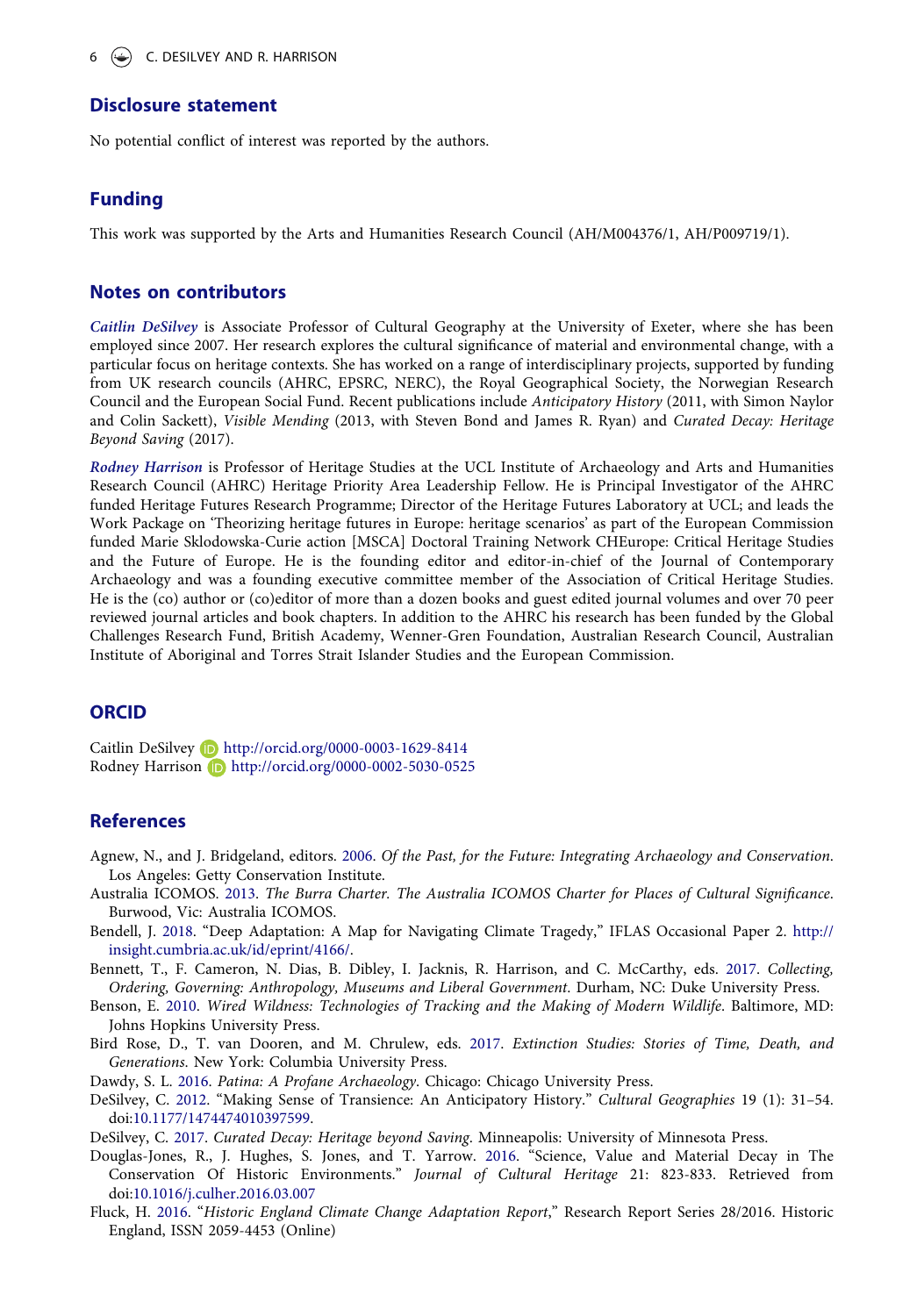## Disclosure statement

No potential conflict of interest was reported by the authors.

## Funding

This work was supported by the Arts and Humanities Research Council (AH/M004376/1, AH/P009719/1).

#### Notes on contributors

Caitlin DeSilvey is Associate Professor of Cultural Geography at the University of Exeter, where she has been employed since 2007. Her research explores the cultural significance of material and environmental change, with a particular focus on heritage contexts. She has worked on a range of interdisciplinary projects, supported by funding from UK research councils (AHRC, EPSRC, NERC), the Royal Geographical Society, the Norwegian Research Council and the European Social Fund. Recent publications include Anticipatory History (2011, with Simon Naylor and Colin Sackett), Visible Mending (2013, with Steven Bond and James R. Ryan) and Curated Decay: Heritage Beyond Saving (2017).

Rodney Harrison is Professor of Heritage Studies at the UCL Institute of Archaeology and Arts and Humanities Research Council (AHRC) Heritage Priority Area Leadership Fellow. He is Principal Investigator of the AHRC funded Heritage Futures Research Programme; Director of the Heritage Futures Laboratory at UCL; and leads the Work Package on 'Theorizing heritage futures in Europe: heritage scenarios' as part of the European Commission funded Marie Sklodowska-Curie action [MSCA] Doctoral Training Network CHEurope: Critical Heritage Studies and the Future of Europe. He is the founding editor and editor-in-chief of the Journal of Contemporary Archaeology and was a founding executive committee member of the Association of Critical Heritage Studies. He is the (co) author or (co)editor of more than a dozen books and guest edited journal volumes and over 70 peer reviewed journal articles and book chapters. In addition to the AHRC his research has been funded by the Global Challenges Research Fund, British Academy, Wenner-Gren Foundation, Australian Research Council, Australian Institute of Aboriginal and Torres Strait Islander Studies and the European Commission.

## **ORCID**

Caitlin DeSilvey http://orcid.org/0000-0003-1629-8414 Rodney Harrison **b** http://orcid.org/0000-0002-5030-0525

## **References**

- <span id="page-6-5"></span>Agnew, N., and J. Bridgeland, editors. [2006.](#page-2-0) Of the Past, for the Future: Integrating Archaeology and Conservation. Los Angeles: Getty Conservation Institute.
- <span id="page-6-1"></span>Australia ICOMOS. [2013](#page-2-1). The Burra Charter. The Australia ICOMOS Charter for Places of Cultural Significance. Burwood, Vic: Australia ICOMOS.
- <span id="page-6-0"></span>Bendell, J. [2018](#page-1-1). "Deep Adaptation: A Map for Navigating Climate Tragedy," IFLAS Occasional Paper 2. [http://](http://insight.cumbria.ac.uk/id/eprint/4166/) [insight.cumbria.ac.uk/id/eprint/4166/.](http://insight.cumbria.ac.uk/id/eprint/4166/)
- <span id="page-6-6"></span>Bennett, T., F. Cameron, N. Dias, B. Dibley, I. Jacknis, R. Harrison, and C. McCarthy, eds. [2017](#page-3-0). Collecting, Ordering, Governing: Anthropology, Museums and Liberal Government. Durham, NC: Duke University Press.
- <span id="page-6-7"></span>Benson, E. [2010.](#page-3-1) Wired Wildness: Technologies of Tracking and the Making of Modern Wildlife. Baltimore, MD: Johns Hopkins University Press.
- <span id="page-6-8"></span>Bird Rose, D., T. van Dooren, and M. Chrulew, eds. [2017](#page-3-2). Extinction Studies: Stories of Time, Death, and Generations. New York: Columbia University Press.
- <span id="page-6-9"></span>Dawdy, S. L. [2016](#page-3-3). Patina: A Profane Archaeology. Chicago: Chicago University Press.
- <span id="page-6-2"></span>DeSilvey, C. [2012](#page-2-2). "Making Sense of Transience: An Anticipatory History." Cultural Geographies 19 (1): 31–54. doi:[10.1177/1474474010397599.](https://doi.org/10.1177/1474474010397599)

<span id="page-6-4"></span>DeSilvey, C. [2017](#page-2-3). Curated Decay: Heritage beyond Saving. Minneapolis: University of Minnesota Press.

- <span id="page-6-10"></span>Douglas-Jones, R., J. Hughes, S. Jones, and T. Yarrow. [2016.](#page-3-3) "Science, Value and Material Decay in The Conservation Of Historic Environments." Journal of Cultural Heritage 21: 823-833. Retrieved from doi:[10.1016/j.culher.2016.03.007](https://doi.org/10.1016/j.culher.2016.03.007)
- <span id="page-6-3"></span>Fluck, H. [2016](#page-2-4). "Historic England Climate Change Adaptation Report," Research Report Series 28/2016. Historic England, ISSN 2059-4453 (Online)